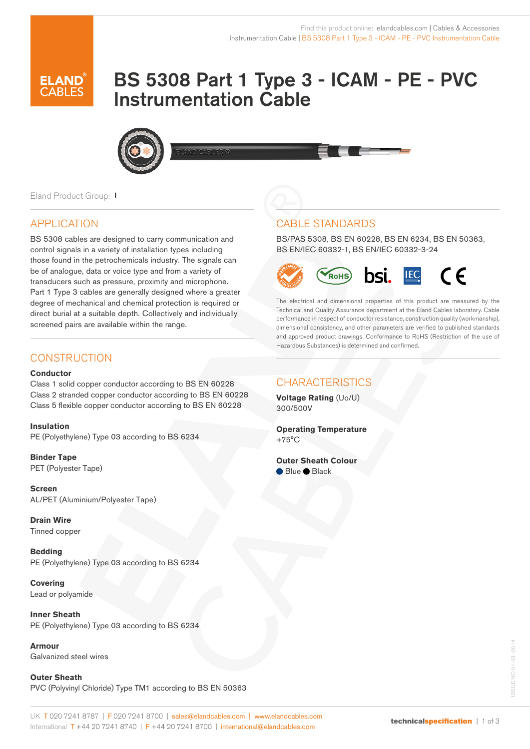# BS 5308 Part 1 Type 3 - ICAM - PE - PVC Instrumentation Cable



Eland Product Group: I

## APPLICATION

BS 5308 cables are designed to carry communication and control signals in a variety of installation types including those found in the petrochemicals industry. The signals can be of analogue, data or voice type and from a variety of transducers such as pressure, proximity and microphone. Part 1 Type 3 cables are generally designed where a greater degree of mechanical and chemical protection is required or direct burial at a suitable depth. Collectively and individually screened pairs are available within the range.

## **CONSTRUCTION**

#### **Conductor**

Class 1 solid copper conductor according to BS EN 60228 Class 2 stranded copper conductor according to BS EN 60228 Class 5 flexible copper conductor according to BS EN 60228

**Insulation** PE (Polyethylene) Type 03 according to BS 6234

**Binder Tape** PET (Polyester Tape)

**Screen**  AL/PET (Aluminium/Polyester Tape)

**Drain Wire**  Tinned copper

**Bedding**  PE (Polyethylene) Type 03 according to BS 6234

**Covering** Lead or polyamide

**Inner Sheath**  PE (Polyethylene) Type 03 according to BS 6234

**Armour** Galvanized steel wires

**Outer Sheath**  PVC (Polyvinyl Chloride) Type TM1 according to BS EN 50363

# CABLE STANDARDS

BS/PAS 5308, BS EN 60228, BS EN 6234, BS EN 50363, BS EN/IEC 60332-1, BS EN/IEC 60332-3-24



The electrical and dimensional properties of this product are measured by the Technical and Quality Assurance department at the Eland Cables laboratory. Cable performance in respect of conductor resistance, construction quality (workmanship), dimensional consistency, and other parameters are verified to published standards and approved product drawings. Conformance to RoHS (Restriction of the use of Hazardous Substances) is determined and confirmed.

## CHARACTERISTICS

**Voltage Rating** (Uo/U) 300/500V

**Operating Temperature** +75°C

#### **Outer Sheath Colour**

Blue Black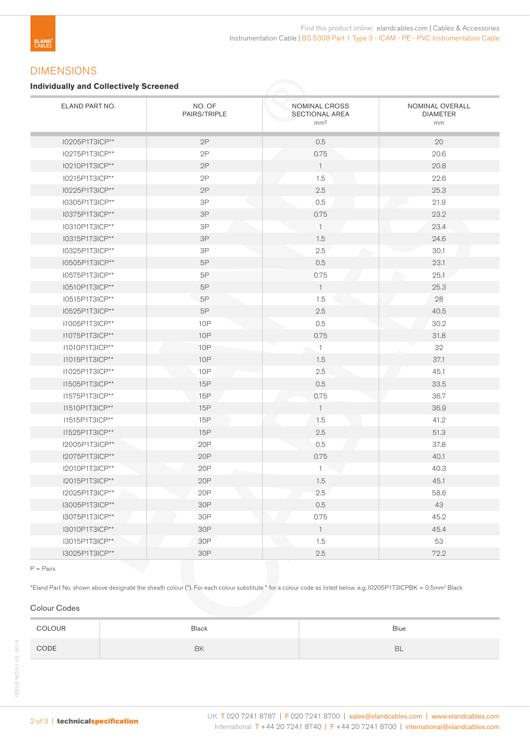## DIMENSIONS

#### **Individually and Collectively Screened**

| ELAND PART NO. | NO. OF<br>PAIRS/TRIPLE | NOMINAL CROSS<br>SECTIONAL AREA<br>mm <sup>2</sup> | NOMINAL OVERALL<br><b>DIAMETER</b><br>mm |  |
|----------------|------------------------|----------------------------------------------------|------------------------------------------|--|
| I0205P1T3ICP** | 2P                     | 0.5                                                | 20                                       |  |
| I0275P1T3ICP** | 2P                     | 0.75                                               | 20.6                                     |  |
| I0210P1T3ICP** | 2P                     | $\overline{1}$                                     | 20.8                                     |  |
| I0215P1T3ICP** | 2P                     | 1.5                                                | 22.6                                     |  |
| I0225P1T3ICP** | 2P                     | 2.5                                                | 25.3                                     |  |
| I0305P1T3ICP** | $3P$                   | 0.5                                                | 21.9                                     |  |
| 10375P1T3ICP** | 3P                     | 0.75                                               | 23.2                                     |  |
| I0310P1T3ICP** | $3\mathsf{P}$          | $\mathbf{1}$                                       | 23.4                                     |  |
| I0315P1T3ICP** | $3\mathsf{P}$          | 1.5                                                | 24.6                                     |  |
| I0325P1T3ICP** | $3\mathsf{P}$          | 2.5                                                | 30.1                                     |  |
| I0505P1T3ICP** | 5P                     | 0.5                                                | 23.1                                     |  |
| I0575P1T3ICP** | 5P                     | 0.75                                               | 25.1                                     |  |
| I0510P1T3ICP** | 5P                     | $\overline{1}$                                     | 25.3                                     |  |
| I0515P1T3ICP** | 5P                     | 1.5                                                | 28                                       |  |
| I0525P1T3ICP** | 5P                     | 2.5                                                | 40.5                                     |  |
| I1005P1T3ICP** | <b>10P</b>             | 0.5                                                | 30.2                                     |  |
| I1075P1T3ICP** | <b>10P</b>             | 0.75                                               | 31.8                                     |  |
| I1010P1T3ICP** | <b>10P</b>             | $\overline{1}$                                     | 32                                       |  |
| I1015P1T3ICP** | <b>10P</b>             | 1.5                                                | 37.1                                     |  |
| I1025P1T3ICP** | <b>10P</b>             | 2.5                                                | 45.1                                     |  |
| I1505P1T3ICP** | <b>15P</b>             | 0.5                                                | 33.5                                     |  |
| I1575P1T3ICP** | <b>15P</b>             | 0.75                                               | 36.7                                     |  |
| I1510P1T3ICP** | <b>15P</b>             | $\overline{1}$                                     | 36.9                                     |  |
| I1515P1T3ICP** | 15P                    | 1.5                                                | 41.2                                     |  |
| I1525P1T3ICP** | <b>15P</b>             | 2.5                                                | 51.3                                     |  |
| 12005P1T3ICP** | 20P                    | 0.5                                                | 37.8                                     |  |
| I2075P1T3ICP** | 20P                    | 0.75                                               | 40.1                                     |  |
| I2010P1T3ICP** | 20P                    | 1                                                  | 40.3                                     |  |
| I2015P1T3ICP** | 20P                    | 1.5                                                | 45.1                                     |  |
| I2025P1T3ICP** | 20P                    | 2.5                                                | 58.6                                     |  |
| I3005P1T3ICP** | 30P                    | 0.5                                                | 43                                       |  |
| I3075P1T3ICP** | 30P                    | 0.75                                               | 45.2                                     |  |
| 13010P1T3ICP** | 30P                    | $\mathbf{1}$                                       | 45.4                                     |  |
| I3015P1T3ICP** | 30P                    | 1.5                                                | 53                                       |  |
| I3025P1T3ICP** | 30P                    | 2.5                                                | 72.2                                     |  |

P = Pairs

\*Eland Part No. shown above designate the sheath colour (\*). For each colour substitute \* for a colour code as listed below. e.g. I0205P1T3ICPBK = 0.5mm2 Black

### Colour Codes

| COLOUR | <b>Black</b> | <b>Blue</b> |
|--------|--------------|-------------|
| CODE   | BK           | <b>BL</b>   |